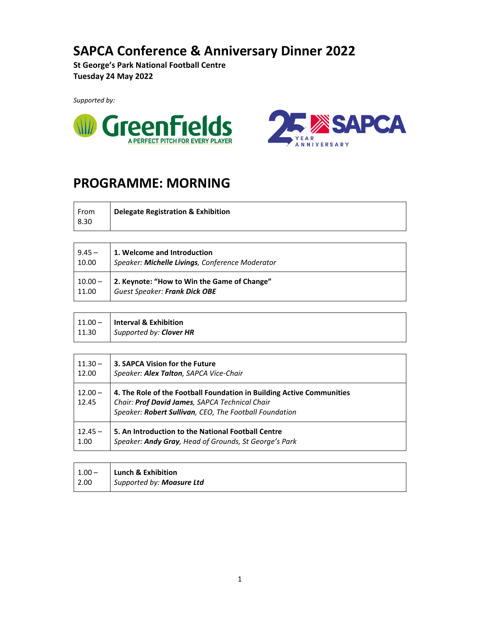## **SAPCA Conference & Anniversary Dinner 2022**

**St George's Park National Football Centre Tuesday 24 May 2022**

*Supported by:*





## **PROGRAMME: MORNING**

| From | Delegate Registration & Exhibition |
|------|------------------------------------|
| 8.30 |                                    |

| $9.45 -$  | 1. Welcome and Introduction                     |
|-----------|-------------------------------------------------|
| 10.00     | Speaker: Michelle Livings, Conference Moderator |
| $10.00 -$ | 2. Keynote: "How to Win the Game of Change"     |
| 11.00     | <b>Guest Speaker: Frank Dick OBE</b>            |

| $11.00 -$ | Interval & Exhibition   |
|-----------|-------------------------|
| 11.30     | Supported by: Clover HR |

T

| $11.30 -$          | 3. SAPCA Vision for the Future                                                                                                                                                    |
|--------------------|-----------------------------------------------------------------------------------------------------------------------------------------------------------------------------------|
| 12.00              | Speaker: Alex Talton, SAPCA Vice-Chair                                                                                                                                            |
| $12.00 -$<br>12.45 | 4. The Role of the Football Foundation in Building Active Communities<br>Chair: Prof David James, SAPCA Technical Chair<br>Speaker: Robert Sullivan, CEO, The Football Foundation |
| $12.45 -$          | 5. An Introduction to the National Football Centre                                                                                                                                |
| 1.00               | Speaker: Andy Gray, Head of Grounds, St George's Park                                                                                                                             |

|      | $1.00 -$ Lunch & Exhibition |
|------|-----------------------------|
| 2.00 | Supported by: Moasure Ltd   |